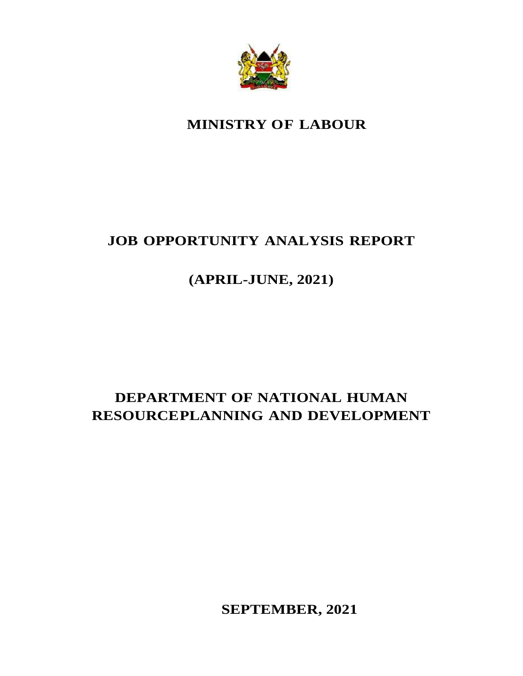

# **MINISTRY OF LABOUR**

# **JOB OPPORTUNITY ANALYSIS REPORT**

# **(APRIL-JUNE, 2021)**

# **DEPARTMENT OF NATIONAL HUMAN RESOURCEPLANNING AND DEVELOPMENT**

**SEPTEMBER, 2021**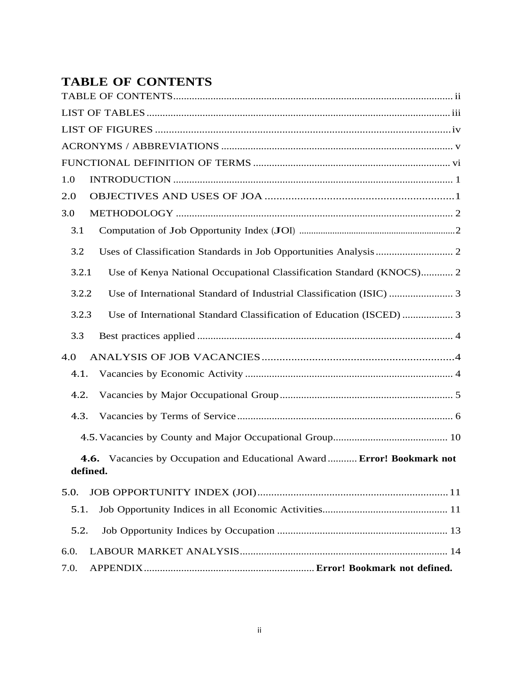## <span id="page-1-0"></span>**TABLE OF CONTENTS**

| 1.0                                                                                 |
|-------------------------------------------------------------------------------------|
| 2.0                                                                                 |
| 3.0                                                                                 |
| 3.1                                                                                 |
| 3.2                                                                                 |
| Use of Kenya National Occupational Classification Standard (KNOCS) 2<br>3.2.1       |
| 3.2.2                                                                               |
| Use of International Standard Classification of Education (ISCED)  3<br>3.2.3       |
| 3.3                                                                                 |
| 4.0                                                                                 |
| 4.1.                                                                                |
| 4.2.                                                                                |
| 4.3.                                                                                |
|                                                                                     |
| 4.6. Vacancies by Occupation and Educational Award  Error! Bookmark not<br>defined. |
| 5.0.                                                                                |
| 5.1.                                                                                |
| 5.2.                                                                                |
| 6.0.                                                                                |
| 7.0.                                                                                |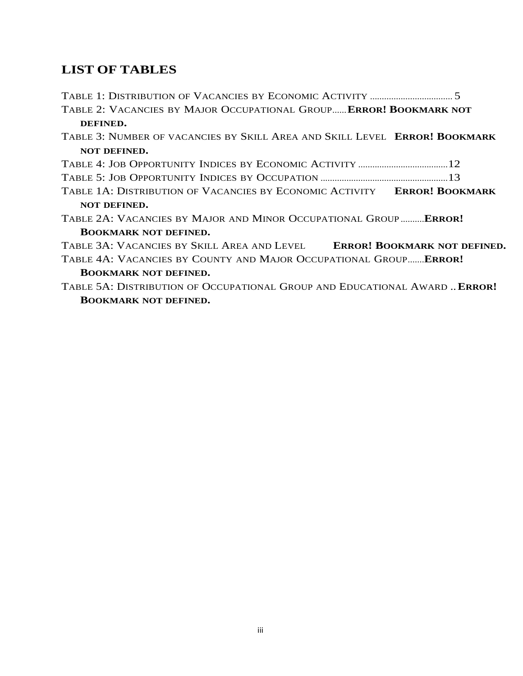## <span id="page-2-0"></span>**LIST OF TABLES**

| TABLE 2: VACANCIES BY MAJOR OCCUPATIONAL GROUP ERROR! BOOKMARK NOT                |  |
|-----------------------------------------------------------------------------------|--|
| DEFINED.                                                                          |  |
| TABLE 3: NUMBER OF VACANCIES BY SKILL AREA AND SKILL LEVEL <b>ERROR! BOOKMARK</b> |  |
| <b>NOT DEFINED.</b>                                                               |  |
|                                                                                   |  |
|                                                                                   |  |
| TABLE 1A: DISTRIBUTION OF VACANCIES BY ECONOMIC ACTIVITY ERROR! BOOKMARK          |  |
| <b>NOT DEFINED.</b>                                                               |  |
| TABLE 2A: VACANCIES BY MAJOR AND MINOR OCCUPATIONAL GROUP <b>ERROR!</b>           |  |
| <b>BOOKMARK NOT DEFINED.</b>                                                      |  |
| TABLE 3A: VACANCIES BY SKILL AREA AND LEVEL ERROR! BOOKMARK NOT DEFINED.          |  |
| TABLE 4A: VACANCIES BY COUNTY AND MAJOR OCCUPATIONAL GROUP <b>ERROR!</b>          |  |
| <b>BOOKMARK NOT DEFINED.</b>                                                      |  |
| TABLE 5A: DISTRIBUTION OF OCCUPATIONAL GROUP AND EDUCATIONAL AWARDERROR!          |  |
| <b>BOOKMARK NOT DEFINED.</b>                                                      |  |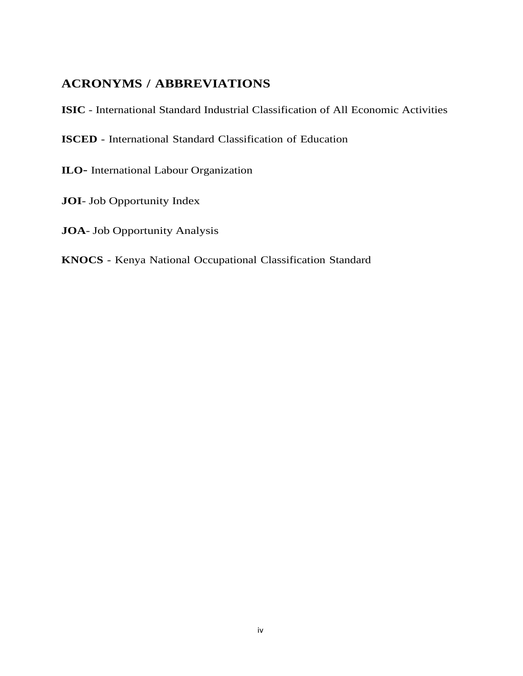## <span id="page-3-1"></span><span id="page-3-0"></span>**ACRONYMS / ABBREVIATIONS**

**ISIC** - International Standard Industrial Classification of All Economic Activities

**ISCED** - International Standard Classification of Education

**ILO**- International Labour Organization

- **JOI** Job Opportunity Index
- **JOA** Job Opportunity Analysis
- **KNOCS** Kenya National Occupational Classification Standard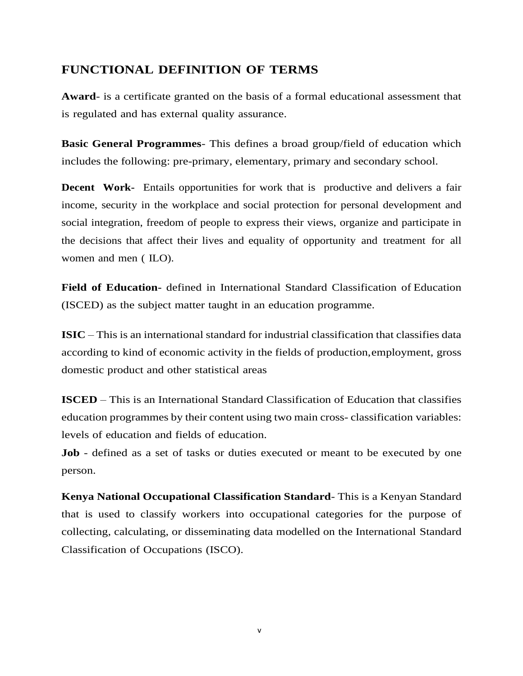## <span id="page-4-0"></span>**FUNCTIONAL DEFINITION OF TERMS**

**Award**- is a certificate granted on the basis of a formal educational assessment that is regulated and has external quality assurance.

**Basic General Programmes**- This defines a broad group/field of education which includes the following: pre-primary, elementary, primary and secondary school.

**Decent Work-** Entails opportunities for work that is productive and delivers a fair income, security in the workplace and social protection for personal development and social integration, freedom of people to express their views, organize and participate in the decisions that affect their lives and equality of opportunity and treatment for all women and men ( ILO).

**Field of Education-** defined in International Standard Classification of Education (ISCED) as the subject matter taught in an education programme.

**ISIC** – This is an international standard for industrial classification that classifies data according to kind of economic activity in the fields of production,employment, gross domestic product and other statistical areas

**ISCED** – This is an International Standard Classification of Education that classifies education programmes by their content using two main cross- classification variables: levels of education and fields of education.

**Job** - defined as a set of tasks or duties executed or meant to be executed by one person.

**Kenya National Occupational Classification Standard**- This is a Kenyan Standard that is used to classify workers into occupational categories for the purpose of collecting, calculating, or disseminating data modelled on the International Standard Classification of Occupations (ISCO).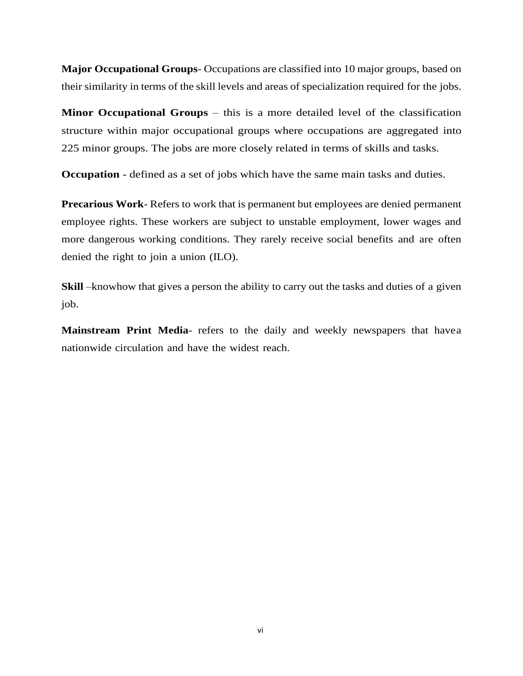**Major Occupational Groups**- Occupations are classified into 10 major groups, based on their similarity in terms of the skill levels and areas of specialization required for the jobs.

**Minor Occupational Groups** – this is a more detailed level of the classification structure within major occupational groups where occupations are aggregated into 225 minor groups. The jobs are more closely related in terms of skills and tasks.

**Occupation** - defined as a set of jobs which have the same main tasks and duties.

**Precarious Work-Refers to work that is permanent but employees are denied permanent** employee rights. These workers are subject to unstable employment, lower wages and more dangerous working conditions. They rarely receive social benefits and are often denied the right to join a union (ILO).

**Skill** –knowhow that gives a person the ability to carry out the tasks and duties of a given job.

**Mainstream Print Media**- refers to the daily and weekly newspapers that havea nationwide circulation and have the widest reach.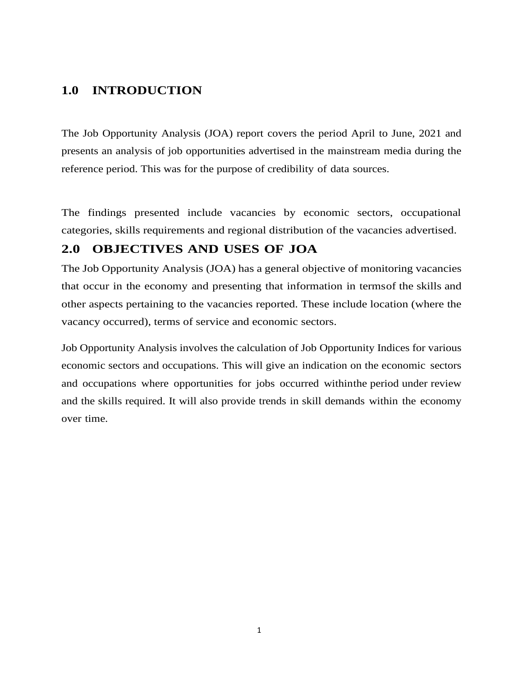## <span id="page-6-0"></span>**1.0 INTRODUCTION**

The Job Opportunity Analysis (JOA) report covers the period April to June, 2021 and presents an analysis of job opportunities advertised in the mainstream media during the reference period. This was for the purpose of credibility of data sources.

The findings presented include vacancies by economic sectors, occupational categories, skills requirements and regional distribution of the vacancies advertised.

## <span id="page-6-1"></span>**2.0 OBJECTIVES AND USES OF JOA**

The Job Opportunity Analysis (JOA) has a general objective of monitoring vacancies that occur in the economy and presenting that information in termsof the skills and other aspects pertaining to the vacancies reported. These include location (where the vacancy occurred), terms of service and economic sectors.

Job Opportunity Analysis involves the calculation of Job Opportunity Indices for various economic sectors and occupations. This will give an indication on the economic sectors and occupations where opportunities for jobs occurred withinthe period under review and the skills required. It will also provide trends in skill demands within the economy over time.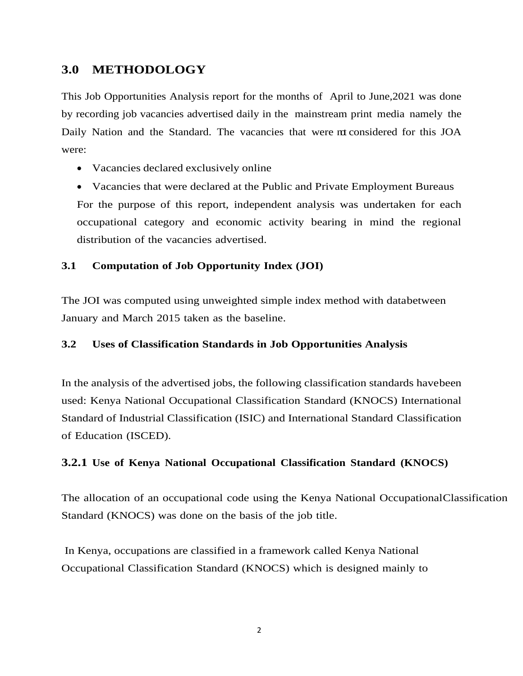## <span id="page-7-0"></span>**3.0 METHODOLOGY**

This Job Opportunities Analysis report for the months of April to June,2021 was done by recording job vacancies advertised daily in the mainstream print media namely the Daily Nation and the Standard. The vacancies that were not considered for this JOA were:

- Vacancies declared exclusively online
- Vacancies that were declared at the Public and Private Employment Bureaus For the purpose of this report, independent analysis was undertaken for each occupational category and economic activity bearing in mind the regional distribution of the vacancies advertised.

### <span id="page-7-1"></span>**3.1 Computation of Job Opportunity Index (JOI)**

The JOI was computed using unweighted simple index method with databetween January and March 2015 taken as the baseline.

#### <span id="page-7-2"></span>**3.2 Uses of Classification Standards in Job Opportunities Analysis**

In the analysis of the advertised jobs, the following classification standards havebeen used: Kenya National Occupational Classification Standard (KNOCS) International Standard of Industrial Classification (ISIC) and International Standard Classification of Education (ISCED).

### <span id="page-7-3"></span>**3.2.1 Use of Kenya National Occupational Classification Standard (KNOCS)**

The allocation of an occupational code using the Kenya National OccupationalClassification Standard (KNOCS) was done on the basis of the job title.

In Kenya, occupations are classified in a framework called Kenya National Occupational Classification Standard (KNOCS) which is designed mainly to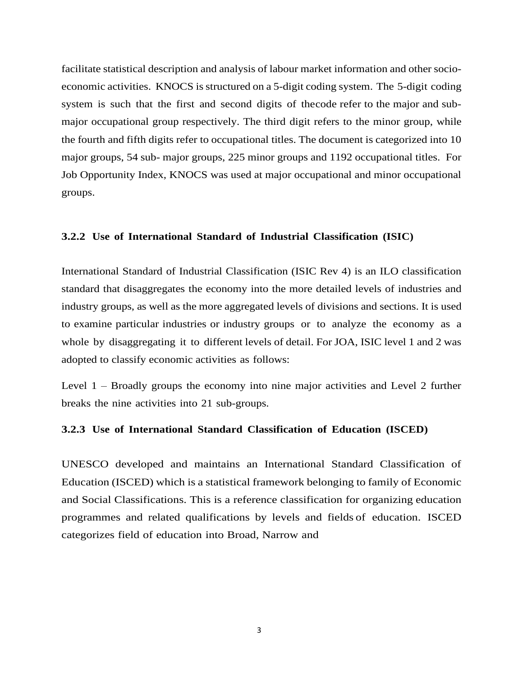facilitate statistical description and analysis of labour market information and other socioeconomic activities. KNOCS isstructured on a 5-digit coding system. The 5-digit coding system is such that the first and second digits of thecode refer to the major and submajor occupational group respectively. The third digit refers to the minor group, while the fourth and fifth digits refer to occupational titles. The document is categorized into 10 major groups, 54 sub- major groups, 225 minor groups and 1192 occupational titles. For Job Opportunity Index, KNOCS was used at major occupational and minor occupational groups.

#### <span id="page-8-0"></span>**3.2.2 Use of International Standard of Industrial Classification (ISIC)**

International Standard of Industrial Classification (ISIC Rev 4) is an ILO classification standard that disaggregates the economy into the more detailed levels of industries and industry groups, as well as the more aggregated levels of divisions and sections. It is used to examine particular industries or industry groups or to analyze the economy as a whole by disaggregating it to different levels of detail. For JOA, ISIC level 1 and 2 was adopted to classify economic activities as follows:

Level 1 – Broadly groups the economy into nine major activities and Level 2 further breaks the nine activities into 21 sub-groups.

#### <span id="page-8-1"></span>**3.2.3 Use of International Standard Classification of Education (ISCED)**

UNESCO developed and maintains an International Standard Classification of Education (ISCED) which is a statistical framework belonging to family of Economic and Social Classifications. This is a reference classification for organizing education programmes and related qualifications by levels and fields of education. ISCED categorizes field of education into Broad, Narrow and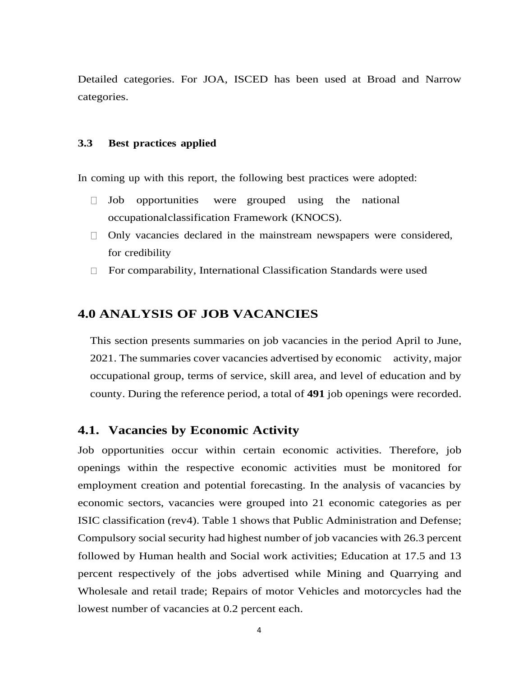Detailed categories. For JOA, ISCED has been used at Broad and Narrow categories.

#### <span id="page-9-0"></span>**3.3 Best practices applied**

In coming up with this report, the following best practices were adopted:

- $\Box$  Job opportunities were grouped using the national occupationalclassification Framework (KNOCS).
- $\Box$  Only vacancies declared in the mainstream newspapers were considered, for credibility
- <span id="page-9-1"></span> $\Box$  For comparability, International Classification Standards were used

#### **4.0 ANALYSIS OF JOB VACANCIES**

This section presents summaries on job vacancies in the period April to June, 2021. The summaries cover vacancies advertised by economic activity, major occupational group, terms of service, skill area, and level of education and by county. During the reference period, a total of **491** job openings were recorded.

#### <span id="page-9-2"></span>**4.1. Vacancies by Economic Activity**

Job opportunities occur within certain economic activities. Therefore, job openings within the respective economic activities must be monitored for employment creation and potential forecasting. In the analysis of vacancies by economic sectors, vacancies were grouped into 21 economic categories as per ISIC classification (rev4). Table 1 shows that Public Administration and Defense; Compulsory social security had highest number of job vacancies with 26.3 percent followed by Human health and Social work activities; Education at 17.5 and 13 percent respectively of the jobs advertised while Mining and Quarrying and Wholesale and retail trade; Repairs of motor Vehicles and motorcycles had the lowest number of vacancies at 0.2 percent each.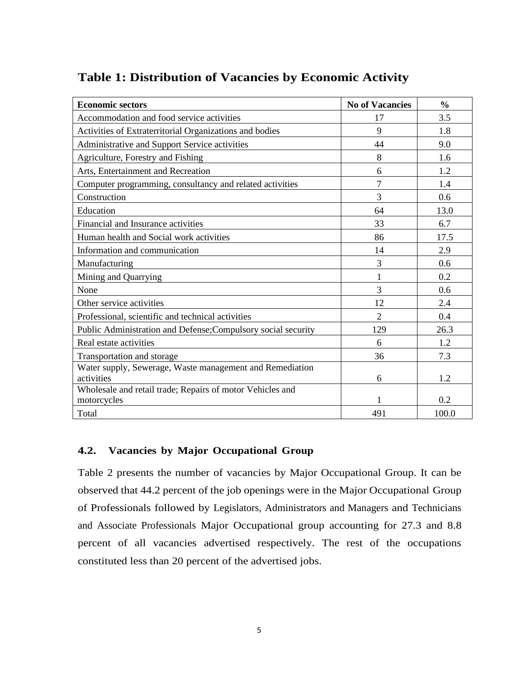<span id="page-10-1"></span>

| <b>Table 1: Distribution of Vacancies by Economic Activity</b> |  |  |  |
|----------------------------------------------------------------|--|--|--|
|----------------------------------------------------------------|--|--|--|

| <b>Economic sectors</b>                                       | <b>No of Vacancies</b> | $\frac{0}{0}$ |
|---------------------------------------------------------------|------------------------|---------------|
| Accommodation and food service activities                     | 17                     | 3.5           |
| Activities of Extraterritorial Organizations and bodies       | 9                      | 1.8           |
| Administrative and Support Service activities                 | 44                     | 9.0           |
| Agriculture, Forestry and Fishing                             | 8                      | 1.6           |
| Arts, Entertainment and Recreation                            | 6                      | 1.2           |
| Computer programming, consultancy and related activities      | 7                      | 1.4           |
| Construction                                                  | 3                      | 0.6           |
| Education                                                     | 64                     | 13.0          |
| Financial and Insurance activities                            | 33                     | 6.7           |
| Human health and Social work activities                       | 86                     | 17.5          |
| Information and communication                                 | 14                     | 2.9           |
| Manufacturing                                                 | 3                      | 0.6           |
| Mining and Quarrying                                          |                        | 0.2           |
| None                                                          | 3                      | 0.6           |
| Other service activities                                      | 12                     | 2.4           |
| Professional, scientific and technical activities             | $\overline{2}$         | 0.4           |
| Public Administration and Defense; Compulsory social security | 129                    | 26.3          |
| Real estate activities                                        | 6                      | 1.2           |
| Transportation and storage                                    | 36                     | 7.3           |
| Water supply, Sewerage, Waste management and Remediation      |                        |               |
| activities                                                    | 6                      | 1.2           |
| Wholesale and retail trade; Repairs of motor Vehicles and     |                        |               |
| motorcycles                                                   |                        | 0.2           |
| Total                                                         | 491                    | 100.0         |

### <span id="page-10-0"></span>**4.2. Vacancies by Major Occupational Group**

Table 2 presents the number of vacancies by Major Occupational Group. It can be observed that 44.2 percent of the job openings were in the Major Occupational Group of Professionals followed by Legislators, Administrators and Managers and Technicians and Associate Professionals Major Occupational group accounting for 27.3 and 8.8 percent of all vacancies advertised respectively. The rest of the occupations constituted less than 20 percent of the advertised jobs.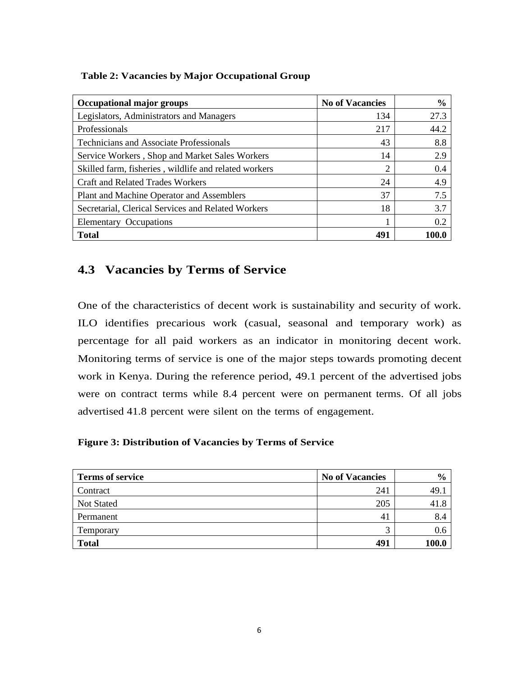#### **Table 2: Vacancies by Major Occupational Group**

| <b>Occupational major groups</b>                      | <b>No of Vacancies</b> | $\frac{0}{0}$ |
|-------------------------------------------------------|------------------------|---------------|
| Legislators, Administrators and Managers              | 134                    | 27.3          |
| Professionals                                         | 217                    | 44.2          |
| <b>Technicians and Associate Professionals</b>        | 43                     | 8.8           |
| Service Workers, Shop and Market Sales Workers        | 14                     | 2.9           |
| Skilled farm, fisheries, wildlife and related workers | 2                      | 0.4           |
| Craft and Related Trades Workers                      | 24                     | 4.9           |
| Plant and Machine Operator and Assemblers             | 37                     | 7.5           |
| Secretarial, Clerical Services and Related Workers    | 18                     | 3.7           |
| Elementary Occupations                                |                        | 0.2           |
| <b>Total</b>                                          | 491                    | 100.0         |

## <span id="page-11-0"></span>**4.3 Vacancies by Terms of Service**

One of the characteristics of decent work is sustainability and security of work. ILO identifies precarious work (casual, seasonal and temporary work) as percentage for all paid workers as an indicator in monitoring decent work. Monitoring terms of service is one of the major steps towards promoting decent work in Kenya. During the reference period, 49.1 percent of the advertised jobs were on contract terms while 8.4 percent were on permanent terms. Of all jobs advertised 41.8 percent were silent on the terms of engagement.

#### **Figure 3: Distribution of Vacancies by Terms of Service**

| <b>Terms of service</b> | <b>No of Vacancies</b> | $\frac{6}{9}$ |
|-------------------------|------------------------|---------------|
| Contract                | 241                    | 49.           |
| <b>Not Stated</b>       | 205                    | 41.8          |
| Permanent               | 41                     | 8.4           |
| Temporary               | ⌒<br>э                 | V.6           |
| <b>Total</b>            | 491                    | 100.0         |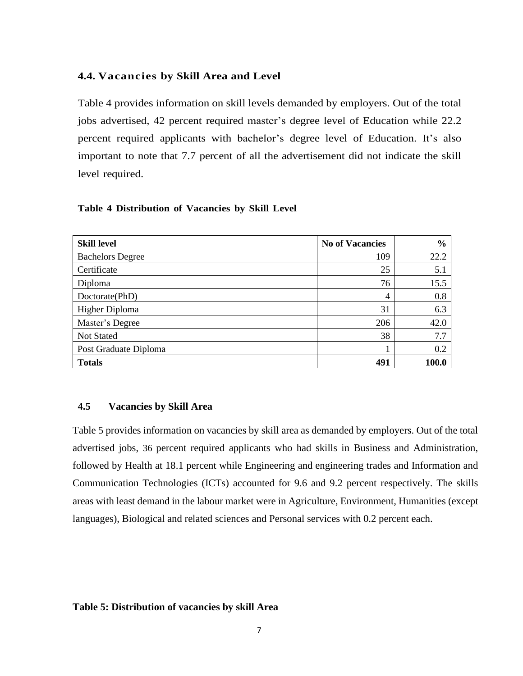#### **4.4. Vacancies by Skill Area and Level**

Table 4 provides information on skill levels demanded by employers. Out of the total jobs advertised, 42 percent required master's degree level of Education while 22.2 percent required applicants with bachelor's degree level of Education. It's also important to note that 7.7 percent of all the advertisement did not indicate the skill level required.

#### **Table 4 Distribution of Vacancies by Skill Level**

| <b>Skill level</b>      | <b>No of Vacancies</b> | $\frac{6}{9}$ |
|-------------------------|------------------------|---------------|
| <b>Bachelors Degree</b> | 109                    | 22.2          |
| Certificate             | 25                     | 5.1           |
| Diploma                 | 76                     | 15.5          |
| Doctorate(PhD)          | 4                      | 0.8           |
| Higher Diploma          | 31                     | 6.3           |
| Master's Degree         | 206                    | 42.0          |
| <b>Not Stated</b>       | 38                     | 7.7           |
| Post Graduate Diploma   | 1                      | 0.2           |
| <b>Totals</b>           | 491                    | 100.0         |

#### **4.5 Vacancies by Skill Area**

Table 5 provides information on vacancies by skill area as demanded by employers. Out of the total advertised jobs, 36 percent required applicants who had skills in Business and Administration, followed by Health at 18.1 percent while Engineering and engineering trades and Information and Communication Technologies (ICTs) accounted for 9.6 and 9.2 percent respectively. The skills areas with least demand in the labour market were in Agriculture, Environment, Humanities (except languages), Biological and related sciences and Personal services with 0.2 percent each.

#### **Table 5: Distribution of vacancies by skill Area**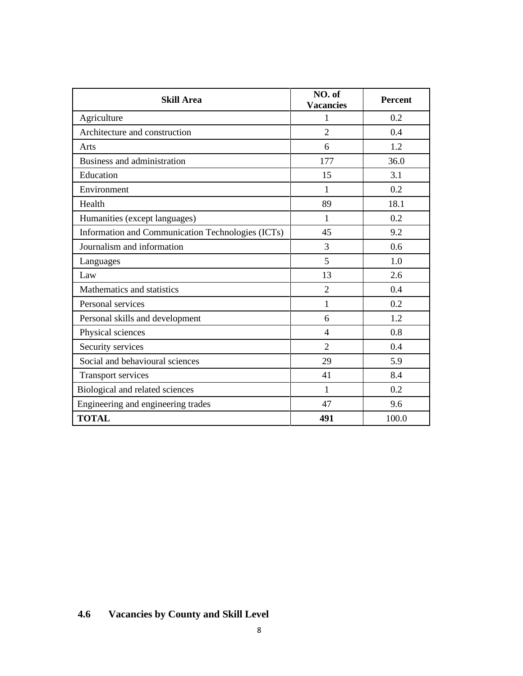| <b>Skill Area</b>                                 | NO. of<br><b>Vacancies</b> | Percent |
|---------------------------------------------------|----------------------------|---------|
| Agriculture                                       | 1                          | 0.2     |
| Architecture and construction                     | $\overline{2}$             | 0.4     |
| Arts                                              | 6                          | 1.2     |
| Business and administration                       | 177                        | 36.0    |
| Education                                         | 15                         | 3.1     |
| Environment                                       | 1                          | 0.2     |
| Health                                            | 89                         | 18.1    |
| Humanities (except languages)                     | $\mathbf{1}$               | 0.2     |
| Information and Communication Technologies (ICTs) | 45                         | 9.2     |
| Journalism and information                        | 3                          | 0.6     |
| Languages                                         | 5                          | 1.0     |
| Law                                               | 13                         | 2.6     |
| Mathematics and statistics                        | $\overline{2}$             | 0.4     |
| Personal services                                 | 1                          | 0.2     |
| Personal skills and development                   | 6                          | 1.2     |
| Physical sciences                                 | 4                          | 0.8     |
| Security services                                 | $\overline{2}$             | 0.4     |
| Social and behavioural sciences                   | 29                         | 5.9     |
| <b>Transport services</b>                         | 41                         | 8.4     |
| Biological and related sciences                   | 1                          | 0.2     |
| Engineering and engineering trades                | 47                         | 9.6     |
| <b>TOTAL</b>                                      | 491                        | 100.0   |

## <span id="page-13-0"></span>**4.6 Vacancies by County and Skill Level**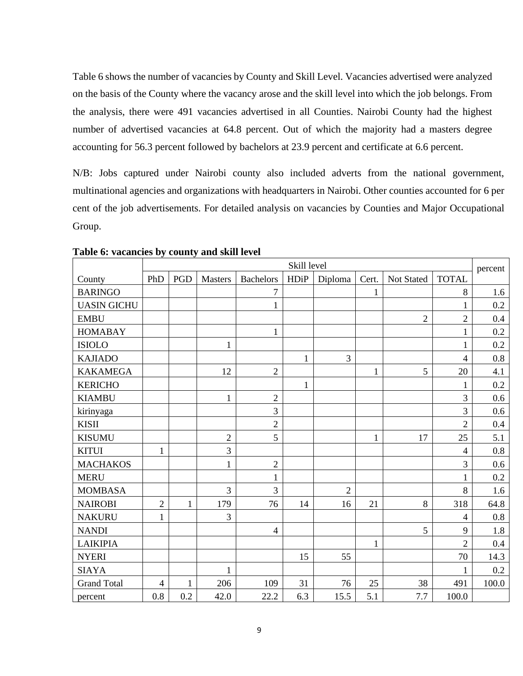Table 6 shows the number of vacancies by County and Skill Level. Vacancies advertised were analyzed on the basis of the County where the vacancy arose and the skill level into which the job belongs. From the analysis, there were 491 vacancies advertised in all Counties. Nairobi County had the highest number of advertised vacancies at 64.8 percent. Out of which the majority had a masters degree accounting for 56.3 percent followed by bachelors at 23.9 percent and certificate at 6.6 percent.

N/B: Jobs captured under Nairobi county also included adverts from the national government, multinational agencies and organizations with headquarters in Nairobi. Other counties accounted for 6 per cent of the job advertisements. For detailed analysis on vacancies by Counties and Major Occupational Group.

|                    | Skill level    |              |                |                  |              |                |              |                | percent        |         |
|--------------------|----------------|--------------|----------------|------------------|--------------|----------------|--------------|----------------|----------------|---------|
| County             | PhD            | PGD          | Masters        | <b>Bachelors</b> | <b>HDiP</b>  | Diploma        | Cert.        | Not Stated     | <b>TOTAL</b>   |         |
| <b>BARINGO</b>     |                |              |                | $\overline{7}$   |              |                | $\mathbf{1}$ |                | 8              | 1.6     |
| <b>UASIN GICHU</b> |                |              |                | $\mathbf{1}$     |              |                |              |                | 1              | 0.2     |
| <b>EMBU</b>        |                |              |                |                  |              |                |              | $\overline{2}$ | $\overline{2}$ | 0.4     |
| <b>HOMABAY</b>     |                |              |                | 1                |              |                |              |                | $\mathbf{1}$   | 0.2     |
| <b>ISIOLO</b>      |                |              | 1              |                  |              |                |              |                | $\mathbf{1}$   | 0.2     |
| <b>KAJIADO</b>     |                |              |                |                  | $\mathbf{1}$ | $\overline{3}$ |              |                | 4              | 0.8     |
| <b>KAKAMEGA</b>    |                |              | 12             | $\overline{2}$   |              |                | $\mathbf{1}$ | 5              | 20             | 4.1     |
| <b>KERICHO</b>     |                |              |                |                  | $\mathbf{1}$ |                |              |                | 1              | $0.2\,$ |
| <b>KIAMBU</b>      |                |              | $\mathbf{1}$   | $\overline{2}$   |              |                |              |                | 3              | $0.6\,$ |
| kirinyaga          |                |              |                | 3                |              |                |              |                | 3              | 0.6     |
| <b>KISII</b>       |                |              |                | $\sqrt{2}$       |              |                |              |                | $\overline{2}$ | 0.4     |
| <b>KISUMU</b>      |                |              | $\overline{2}$ | 5                |              |                | $\mathbf{1}$ | 17             | 25             | 5.1     |
| <b>KITUI</b>       | 1              |              | 3              |                  |              |                |              |                | $\overline{4}$ | 0.8     |
| <b>MACHAKOS</b>    |                |              | $\mathbf{1}$   | $\overline{2}$   |              |                |              |                | 3              | 0.6     |
| <b>MERU</b>        |                |              |                | 1                |              |                |              |                | 1              | 0.2     |
| <b>MOMBASA</b>     |                |              | 3              | 3                |              | $\overline{2}$ |              |                | 8              | 1.6     |
| <b>NAIROBI</b>     | $\overline{2}$ | 1            | 179            | 76               | 14           | 16             | 21           | 8              | 318            | 64.8    |
| <b>NAKURU</b>      | 1              |              | 3              |                  |              |                |              |                | $\overline{4}$ | $0.8\,$ |
| <b>NANDI</b>       |                |              |                | $\overline{4}$   |              |                |              | 5              | 9              | 1.8     |
| <b>LAIKIPIA</b>    |                |              |                |                  |              |                | $\mathbf{1}$ |                | $\overline{2}$ | 0.4     |
| <b>NYERI</b>       |                |              |                |                  | 15           | 55             |              |                | 70             | 14.3    |
| <b>SIAYA</b>       |                |              | 1              |                  |              |                |              |                | 1              | 0.2     |
| <b>Grand Total</b> | $\overline{4}$ | $\mathbf{1}$ | 206            | 109              | 31           | 76             | 25           | 38             | 491            | 100.0   |
| percent            | 0.8            | 0.2          | 42.0           | 22.2             | 6.3          | 15.5           | 5.1          | 7.7            | 100.0          |         |

**Table 6: vacancies by county and skill level**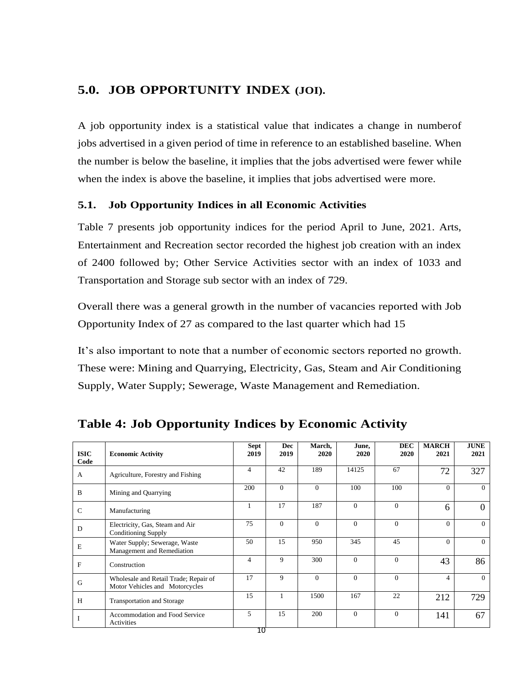## <span id="page-15-0"></span>**5.0. JOB OPPORTUNITY INDEX (JOI).**

A job opportunity index is a statistical value that indicates a change in numberof jobs advertised in a given period of time in reference to an established baseline. When the number is below the baseline, it implies that the jobs advertised were fewer while when the index is above the baseline, it implies that jobs advertised were more.

#### <span id="page-15-1"></span>**5.1. Job Opportunity Indices in all Economic Activities**

Table 7 presents job opportunity indices for the period April to June, 2021. Arts, Entertainment and Recreation sector recorded the highest job creation with an index of 2400 followed by; Other Service Activities sector with an index of 1033 and Transportation and Storage sub sector with an index of 729.

Overall there was a general growth in the number of vacancies reported with Job Opportunity Index of 27 as compared to the last quarter which had 15

It's also important to note that a number of economic sectors reported no growth. These were: Mining and Quarrying, Electricity, Gas, Steam and Air Conditioning Supply, Water Supply; Sewerage, Waste Management and Remediation.

| <b>ISIC</b><br>Code | <b>Economic Activity</b>                                                | <b>Sept</b><br>2019 | <b>Dec</b><br>2019 | March,<br>2020 | June,<br>2020 | <b>DEC</b><br>2020 | <b>MARCH</b><br>2021 | <b>JUNE</b><br>2021 |
|---------------------|-------------------------------------------------------------------------|---------------------|--------------------|----------------|---------------|--------------------|----------------------|---------------------|
| $\mathbf{A}$        | Agriculture, Forestry and Fishing                                       | 4                   | 42                 | 189            | 14125         | 67                 | 72                   | 327                 |
| $\mathbf B$         | Mining and Quarrying                                                    | 200                 | $\theta$           | $\Omega$       | 100           | 100                | $\Omega$             | $\overline{0}$      |
| $\mathcal{C}$       | Manufacturing                                                           |                     | 17                 | 187            | $\Omega$      | $\Omega$           | 6                    | $\boldsymbol{0}$    |
| D                   | Electricity, Gas, Steam and Air<br><b>Conditioning Supply</b>           | 75                  | $\mathbf{0}$       | $\theta$       | $\Omega$      | $\theta$           | $\Omega$             | $\theta$            |
| E                   | Water Supply; Sewerage, Waste<br>Management and Remediation             | 50                  | 15                 | 950            | 345           | 45                 | $\Omega$             | $\Omega$            |
| F                   | Construction                                                            | 4                   | 9                  | 300            | $\Omega$      | $\Omega$           | 43                   | 86                  |
| G                   | Wholesale and Retail Trade; Repair of<br>Motor Vehicles and Motorcycles | 17                  | 9                  | $\Omega$       | $\Omega$      | $\overline{0}$     | $\overline{4}$       | $\Omega$            |
| H                   | <b>Transportation and Storage</b>                                       | 15                  |                    | 1500           | 167           | 22                 | 212                  | 729                 |
|                     | Accommodation and Food Service<br>Activities                            | 5<br>חז             | 15                 | 200            | $\Omega$      | $\overline{0}$     | 141                  | 67                  |

<span id="page-15-2"></span>**Table 4: Job Opportunity Indices by Economic Activity**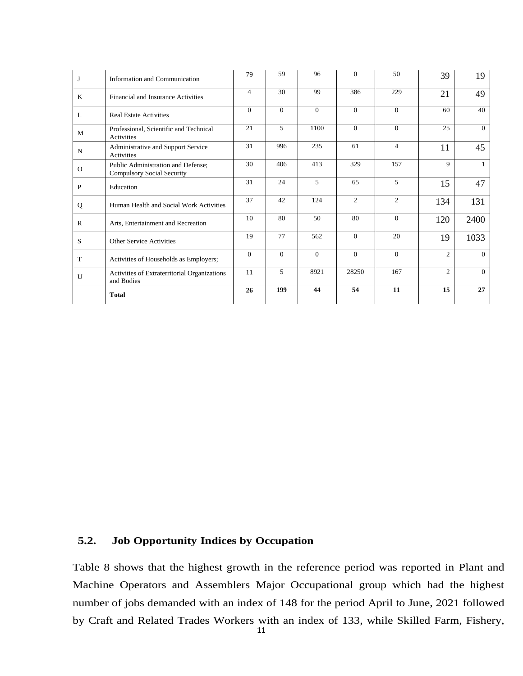| J            | Information and Communication                                           | 79       | 59       | 96       | $\Omega$       | 50             | 39             | 19           |
|--------------|-------------------------------------------------------------------------|----------|----------|----------|----------------|----------------|----------------|--------------|
| K            | Financial and Insurance Activities                                      | 4        | 30       | 99       | 386            | 229            | 21             | 49           |
| L            | <b>Real Estate Activities</b>                                           | $\Omega$ | $\Omega$ | $\Omega$ | $\Omega$       | $\Omega$       | 60             | 40           |
| M            | Professional, Scientific and Technical<br>Activities                    | 21       | 5        | 1100     | $\Omega$       | $\Omega$       | 25             | $\Omega$     |
| $\mathbf N$  | Administrative and Support Service<br><b>Activities</b>                 | 31       | 996      | 235      | 61             | $\overline{4}$ | 11             | 45           |
| $\mathbf{O}$ | Public Administration and Defense;<br><b>Compulsory Social Security</b> | 30       | 406      | 413      | 329            | 157            | 9              | $\mathbf{1}$ |
| $\mathbf{P}$ | Education                                                               | 31       | 24       | 5        | 65             | 5              | 15             | 47           |
| Q            | Human Health and Social Work Activities                                 | 37       | 42       | 124      | $\overline{c}$ | $\overline{c}$ | 134            | 131          |
| $\mathsf{R}$ | Arts, Entertainment and Recreation                                      | 10       | 80       | 50       | 80             | $\Omega$       | 120            | 2400         |
| S            | <b>Other Service Activities</b>                                         | 19       | 77       | 562      | $\Omega$       | 20             | 19             | 1033         |
| T            | Activities of Households as Employers;                                  | $\Omega$ | $\Omega$ | $\Omega$ | $\Omega$       | $\Omega$       | $\mathfrak{2}$ | $\Omega$     |
| U            | Activities of Extraterritorial Organizations<br>and Bodies              | 11       | 5        | 8921     | 28250          | 167            | $\overline{2}$ | $\theta$     |
|              | <b>Total</b>                                                            | 26       | 199      | 44       | 54             | 11             | 15             | 27           |

#### <span id="page-16-0"></span>**5.2. Job Opportunity Indices by Occupation**

Table 8 shows that the highest growth in the reference period was reported in Plant and Machine Operators and Assemblers Major Occupational group which had the highest number of jobs demanded with an index of 148 for the period April to June, 2021 followed by Craft and Related Trades Workers with an index of 133, while Skilled Farm, Fishery,